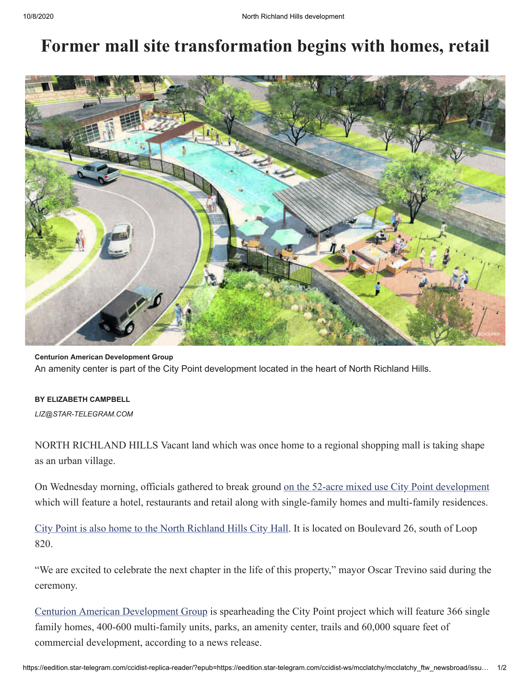## **Former mall site transformation begins with homes, retail**



**Centurion American Development Group** An amenity center is part of the City Point development located in the heart of North Richland Hills.

## **BY ELIZABETH CAMPBELL**

*[LIZ@STAR-TELEGRAM.COM](mailto:liz@star-telegram.com)*

NORTH RICHLAND HILLS Vacant land which was once home to a regional shopping mall is taking shape as an urban village.

On Wednesday morning, officials gathered to break ground [on the 52-acre mixed use City Point development](https://www.nrhed.com/329/City-Point) which will feature a hotel, restaurants and retail along with single-family homes and multi-family residences.

[City Point is also home to the North Richland Hills City Hall.](https://www.star-telegram.com/news/business/growth/article239574928.html) It is located on Boulevard 26, south of Loop 820.

"We are excited to celebrate the next chapter in the life of this property," mayor Oscar Trevino said during the ceremony.

[Centurion American Development Group](https://centurionamerican.com/) is spearheading the City Point project which will feature 366 single family homes, 400-600 multi-family units, parks, an amenity center, trails and 60,000 square feet of commercial development, according to a news release.